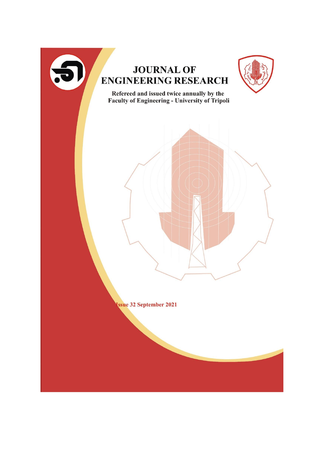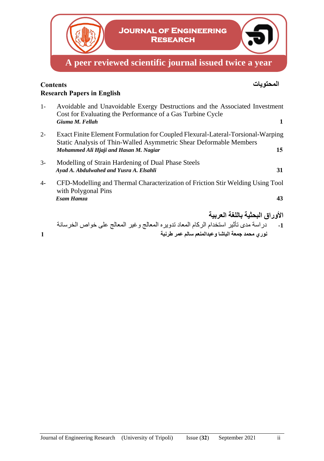

# **المحتويات Contents Research Papers in English**

- 1- Avoidable and Unavoidable Exergy Destructions and the Associated Investment Cost for Evaluating the Performance of a Gas Turbine Cycle *Giuma M. Fellah* **1** 2- Exact Finite Element Formulation for Coupled Flexural-Lateral-Torsional-Warping Static Analysis of Thin-Walled Asymmetric Shear Deformable Members *Mohammed Ali Hjaji and Hasan M. Nagiar* **15** 3**-** Modelling of Strain Hardening of Dual Phase Steels *Ayad A. Abdulwahed and Yusra A. Elsahli* **31**
- 4**-** CFD-Modelling and Thermal Characterization of Friction Stir Welding Using Tool with Polygonal Pins *Esam Hamza* **43**
- **األوراق البحثية باللغة العربية -1** دراسة مدى تأثير استخدام الركام المعاد تدويره المعالج وغير المعالج على خواص الخرسانة **نوري محمد جمعة الباشا وعبدالمنعم سالم عمر طرنبة 1**